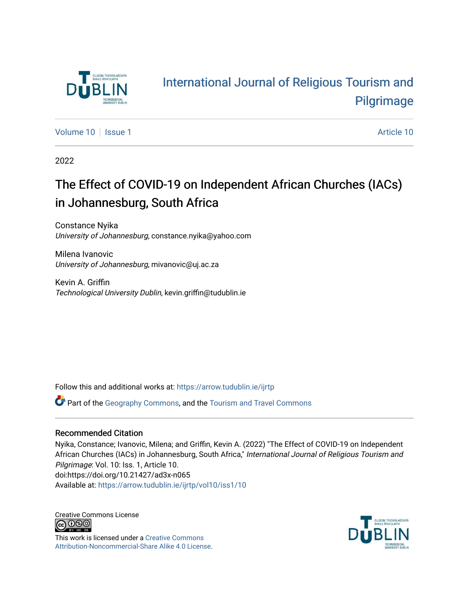

# [International Journal of Religious Tourism and](https://arrow.tudublin.ie/ijrtp)  [Pilgrimage](https://arrow.tudublin.ie/ijrtp)

[Volume 10](https://arrow.tudublin.ie/ijrtp/vol10) | [Issue 1](https://arrow.tudublin.ie/ijrtp/vol10/iss1) Article 10

2022

# The Effect of COVID-19 on Independent African Churches (IACs) in Johannesburg, South Africa

Constance Nyika University of Johannesburg, constance.nyika@yahoo.com

Milena Ivanovic University of Johannesburg, mivanovic@uj.ac.za

Kevin A. Griffin Technological University Dublin, kevin.griffin@tudublin.ie

Follow this and additional works at: [https://arrow.tudublin.ie/ijrtp](https://arrow.tudublin.ie/ijrtp?utm_source=arrow.tudublin.ie%2Fijrtp%2Fvol10%2Fiss1%2F10&utm_medium=PDF&utm_campaign=PDFCoverPages)

Part of the [Geography Commons,](https://network.bepress.com/hgg/discipline/354?utm_source=arrow.tudublin.ie%2Fijrtp%2Fvol10%2Fiss1%2F10&utm_medium=PDF&utm_campaign=PDFCoverPages) and the [Tourism and Travel Commons](https://network.bepress.com/hgg/discipline/1082?utm_source=arrow.tudublin.ie%2Fijrtp%2Fvol10%2Fiss1%2F10&utm_medium=PDF&utm_campaign=PDFCoverPages) 

#### Recommended Citation

Nyika, Constance; Ivanovic, Milena; and Griffin, Kevin A. (2022) "The Effect of COVID-19 on Independent African Churches (IACs) in Johannesburg, South Africa," International Journal of Religious Tourism and Pilgrimage: Vol. 10: Iss. 1, Article 10. doi:https://doi.org/10.21427/ad3x-n065 Available at: [https://arrow.tudublin.ie/ijrtp/vol10/iss1/10](https://arrow.tudublin.ie/ijrtp/vol10/iss1/10?utm_source=arrow.tudublin.ie%2Fijrtp%2Fvol10%2Fiss1%2F10&utm_medium=PDF&utm_campaign=PDFCoverPages) 

Creative Commons License<br>  $\overline{G}$  000

This work is licensed under a [Creative Commons](https://creativecommons.org/licenses/by-nc-sa/4.0/) [Attribution-Noncommercial-Share Alike 4.0 License](https://creativecommons.org/licenses/by-nc-sa/4.0/).

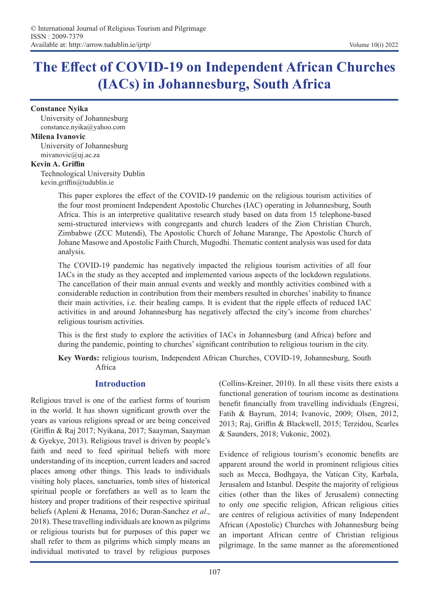# **The Effect of COVID-19 on Independent African Churches (IACs) in Johannesburg, South Africa**

#### **Constance Nyika**

University of Johannesburg constance.nyika@yahoo.com

#### **Milena Ivanovic**

University of Johannesburg mivanovic@uj.ac.za

#### **Kevin A. Griffin**

Technological University Dublin kevin.griffin@tudublin.ie

> This paper explores the effect of the COVID-19 pandemic on the religious tourism activities of the four most prominent Independent Apostolic Churches (IAC) operating in Johannesburg, South Africa. This is an interpretive qualitative research study based on data from 15 telephone-based semi-structured interviews with congregants and church leaders of the Zion Christian Church, Zimbabwe (ZCC Mutendi), The Apostolic Church of Johane Marange, The Apostolic Church of Johane Masowe and Apostolic Faith Church, Mugodhi. Thematic content analysis was used for data analysis.

> The COVID-19 pandemic has negatively impacted the religious tourism activities of all four IACs in the study as they accepted and implemented various aspects of the lockdown regulations. The cancellation of their main annual events and weekly and monthly activities combined with a considerable reduction in contribution from their members resulted in churches' inability to finance their main activities, i.e. their healing camps. It is evident that the ripple effects of reduced IAC activities in and around Johannesburg has negatively affected the city's income from churches' religious tourism activities.

> This is the first study to explore the activities of IACs in Johannesburg (and Africa) before and during the pandemic, pointing to churches' significant contribution to religious tourism in the city.

> **Key Words:** religious tourism, Independent African Churches, COVID-19, Johannesburg, South Africa

## **Introduction**

Religious travel is one of the earliest forms of tourism in the world. It has shown significant growth over the years as various religions spread or are being conceived (Griffin & Raj 2017; Nyikana, 2017; Saayman, Saayman & Gyekye, 2013). Religious travel is driven by people's faith and need to feed spiritual beliefs with more understanding of its inception, current leaders and sacred places among other things. This leads to individuals visiting holy places, sanctuaries, tomb sites of historical spiritual people or forefathers as well as to learn the history and proper traditions of their respective spiritual beliefs (Apleni & Henama, 2016; Duran-Sanchez *et al*., 2018). These travelling individuals are known as pilgrims or religious tourists but for purposes of this paper we shall refer to them as pilgrims which simply means an individual motivated to travel by religious purposes

(Collins-Kreiner, 2010). In all these visits there exists a functional generation of tourism income as destinations benefit financially from travelling individuals (Engresi, Fatih & Bayrum, 2014; Ivanovic, 2009; Olsen, 2012, 2013; Raj, Griffin & Blackwell, 2015; Terzidou, Scarles & Saunders, 2018; Vukonic, 2002).

Evidence of religious tourism's economic benefits are apparent around the world in prominent religious cities such as Mecca, Bodhgaya, the Vatican City, Karbala, Jerusalem and Istanbul. Despite the majority of religious cities (other than the likes of Jerusalem) connecting to only one specific religion, African religious cities are centres of religious activities of many Independent African (Apostolic) Churches with Johannesburg being an important African centre of Christian religious pilgrimage. In the same manner as the aforementioned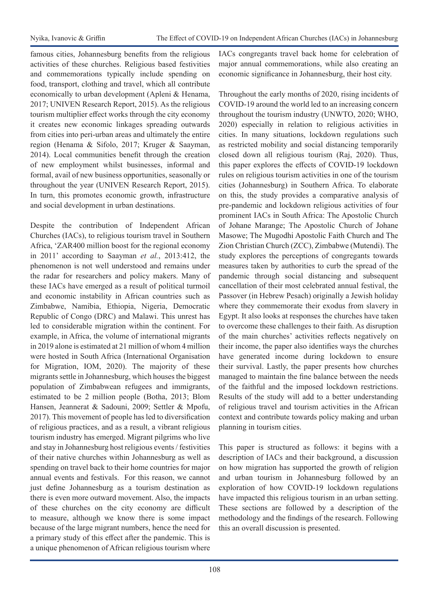famous cities, Johannesburg benefits from the religious activities of these churches. Religious based festivities and commemorations typically include spending on food, transport, clothing and travel, which all contribute economically to urban development (Apleni & Henama, 2017; UNIVEN Research Report, 2015). As the religious tourism multiplier effect works through the city economy it creates new economic linkages spreading outwards from cities into peri-urban areas and ultimately the entire region (Henama & Sifolo, 2017; Kruger & Saayman, 2014). Local communities benefit through the creation of new employment whilst businesses, informal and formal, avail of new business opportunities, seasonally or throughout the year (UNIVEN Research Report, 2015). In turn, this promotes economic growth, infrastructure and social development in urban destinations.

Despite the contribution of Independent African Churches (IACs), to religious tourism travel in Southern Africa, 'ZAR400 million boost for the regional economy in 2011' according to Saayman *et al.*, 2013:412, the phenomenon is not well understood and remains under the radar for researchers and policy makers. Many of these IACs have emerged as a result of political turmoil and economic instability in African countries such as Zimbabwe, Namibia, Ethiopia, Nigeria, Democratic Republic of Congo (DRC) and Malawi. This unrest has led to considerable migration within the continent. For example, in Africa, the volume of international migrants in 2019 alone is estimated at 21 million of whom 4 million were hosted in South Africa (International Organisation for Migration, IOM, 2020). The majority of these migrants settle in Johannesburg, which houses the biggest population of Zimbabwean refugees and immigrants, estimated to be 2 million people (Botha, 2013; Blom Hansen, Jeannerat & Sadouni, 2009; Settler & Mpofu, 2017). This movement of people has led to diversification of religious practices, and as a result, a vibrant religious tourism industry has emerged. Migrant pilgrims who live and stay in Johannesburg host religious events / festivities of their native churches within Johannesburg as well as spending on travel back to their home countries for major annual events and festivals. For this reason, we cannot just define Johannesburg as a tourism destination as there is even more outward movement. Also, the impacts of these churches on the city economy are difficult to measure, although we know there is some impact because of the large migrant numbers, hence the need for a primary study of this effect after the pandemic. This is a unique phenomenon of African religious tourism where

IACs congregants travel back home for celebration of major annual commemorations, while also creating an economic significance in Johannesburg, their host city.

Throughout the early months of 2020, rising incidents of COVID-19 around the world led to an increasing concern throughout the tourism industry (UNWTO, 2020; WHO, 2020) especially in relation to religious activities in cities. In many situations, lockdown regulations such as restricted mobility and social distancing temporarily closed down all religious tourism (Raj, 2020). Thus, this paper explores the effects of COVID-19 lockdown rules on religious tourism activities in one of the tourism cities (Johannesburg) in Southern Africa. To elaborate on this, the study provides a comparative analysis of pre-pandemic and lockdown religious activities of four prominent IACs in South Africa: The Apostolic Church of Johane Marange; The Apostolic Church of Johane Masowe; The Mugodhi Apostolic Faith Church and The Zion Christian Church (ZCC), Zimbabwe (Mutendi). The study explores the perceptions of congregants towards measures taken by authorities to curb the spread of the pandemic through social distancing and subsequent cancellation of their most celebrated annual festival, the Passover (in Hebrew Pesach) originally a Jewish holiday where they commemorate their exodus from slavery in Egypt. It also looks at responses the churches have taken to overcome these challenges to their faith. As disruption of the main churches' activities reflects negatively on their income, the paper also identifies ways the churches have generated income during lockdown to ensure their survival. Lastly, the paper presents how churches managed to maintain the fine balance between the needs of the faithful and the imposed lockdown restrictions. Results of the study will add to a better understanding of religious travel and tourism activities in the African context and contribute towards policy making and urban planning in tourism cities.

This paper is structured as follows: it begins with a description of IACs and their background, a discussion on how migration has supported the growth of religion and urban tourism in Johannesburg followed by an exploration of how COVID-19 lockdown regulations have impacted this religious tourism in an urban setting. These sections are followed by a description of the methodology and the findings of the research. Following this an overall discussion is presented.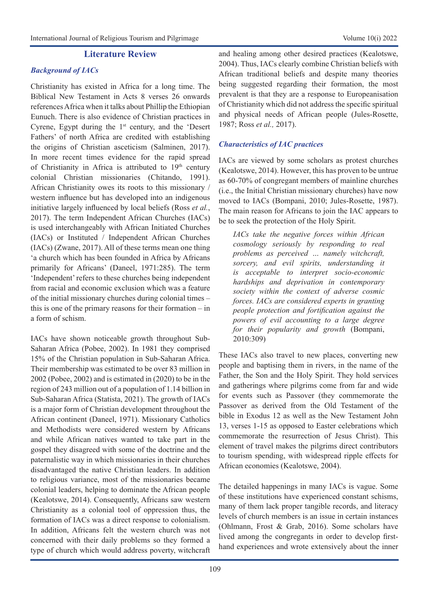### **Literature Review**

### *Background of IACs*

Christianity has existed in Africa for a long time. The Biblical New Testament in Acts 8 verses 26 onwards references Africa when it talks about Phillip the Ethiopian Eunuch. There is also evidence of Christian practices in Cyrene, Egypt during the  $1<sup>st</sup>$  century, and the 'Desert Fathers' of north Africa are credited with establishing the origins of Christian asceticism (Salminen, 2017). In more recent times evidence for the rapid spread of Christianity in Africa is attributed to  $19<sup>th</sup>$  century colonial Christian missionaries (Chitando, 1991). African Christianity owes its roots to this missionary / western influence but has developed into an indigenous initiative largely influenced by local beliefs (Ross *et al.*, 2017). The term Independent African Churches (IACs) is used interchangeably with African Initiated Churches (IACs) or Instituted / Independent African Churches (IACs) (Zwane, 2017). All of these terms mean one thing 'a church which has been founded in Africa by Africans primarily for Africans' (Daneel, 1971:285). The term 'Independent' refers to these churches being independent from racial and economic exclusion which was a feature of the initial missionary churches during colonial times – this is one of the primary reasons for their formation – in a form of schism.

IACs have shown noticeable growth throughout Sub-Saharan Africa (Pobee, 2002). In 1981 they comprised 15% of the Christian population in Sub-Saharan Africa. Their membership was estimated to be over 83 million in 2002 (Pobee, 2002) and is estimated in (2020) to be in the region of 243 million out of a population of 1.14 billion in Sub-Saharan Africa (Statista, 2021). The growth of IACs is a major form of Christian development throughout the African continent (Daneel, 1971). Missionary Catholics and Methodists were considered western by Africans and while African natives wanted to take part in the gospel they disagreed with some of the doctrine and the paternalistic way in which missionaries in their churches disadvantaged the native Christian leaders. In addition to religious variance, most of the missionaries became colonial leaders, helping to dominate the African people (Kealotswe, 2014). Consequently, Africans saw western Christianity as a colonial tool of oppression thus, the formation of IACs was a direct response to colonialism. In addition, Africans felt the western church was not concerned with their daily problems so they formed a type of church which would address poverty, witchcraft

and healing among other desired practices (Kealotswe, 2004). Thus, IACs clearly combine Christian beliefs with African traditional beliefs and despite many theories being suggested regarding their formation, the most prevalent is that they are a response to Europeanisation of Christianity which did not address the specific spiritual and physical needs of African people (Jules-Rosette, 1987; Ross *et al.,* 2017).

### *Characteristics of IAC practices*

IACs are viewed by some scholars as protest churches (Kealotswe, 2014). However, this has proven to be untrue as 60-70% of congregant members of mainline churches (i.e., the Initial Christian missionary churches) have now moved to IACs (Bompani, 2010; Jules-Rosette, 1987). The main reason for Africans to join the IAC appears to be to seek the protection of the Holy Spirit.

*IACs take the negative forces within African cosmology seriously by responding to real problems as perceived … namely witchcraft, sorcery, and evil spirits, understanding it is acceptable to interpret socio-economic hardships and deprivation in contemporary society within the context of adverse cosmic forces. IACs are considered experts in granting people protection and fortification against the powers of evil accounting to a large degree for their popularity and growth* (Bompani, 2010:309)

These IACs also travel to new places, converting new people and baptising them in rivers, in the name of the Father, the Son and the Holy Spirit. They hold services and gatherings where pilgrims come from far and wide for events such as Passover (they commemorate the Passover as derived from the Old Testament of the bible in Exodus 12 as well as the New Testament John 13, verses 1-15 as opposed to Easter celebrations which commemorate the resurrection of Jesus Christ). This element of travel makes the pilgrims direct contributors to tourism spending, with widespread ripple effects for African economies (Kealotswe, 2004).

The detailed happenings in many IACs is vague. Some of these institutions have experienced constant schisms, many of them lack proper tangible records, and literacy levels of church members is an issue in certain instances (Ohlmann, Frost & Grab, 2016). Some scholars have lived among the congregants in order to develop firsthand experiences and wrote extensively about the inner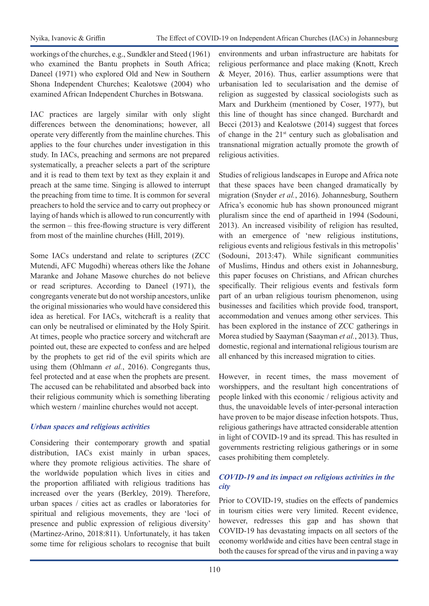workings of the churches, e.g., Sundkler and Steed (1961) who examined the Bantu prophets in South Africa; Daneel (1971) who explored Old and New in Southern Shona Independent Churches; Kealotswe (2004) who examined African Independent Churches in Botswana.

IAC practices are largely similar with only slight differences between the denominations; however, all operate very differently from the mainline churches. This applies to the four churches under investigation in this study. In IACs, preaching and sermons are not prepared systematically, a preacher selects a part of the scripture and it is read to them text by text as they explain it and preach at the same time. Singing is allowed to interrupt the preaching from time to time. It is common for several preachers to hold the service and to carry out prophecy or laying of hands which is allowed to run concurrently with the sermon – this free-flowing structure is very different from most of the mainline churches (Hill, 2019).

Some IACs understand and relate to scriptures (ZCC Mutendi, AFC Mugodhi) whereas others like the Johane Maranke and Johane Masowe churches do not believe or read scriptures. According to Daneel (1971), the congregants venerate but do not worship ancestors, unlike the original missionaries who would have considered this idea as heretical. For IACs, witchcraft is a reality that can only be neutralised or eliminated by the Holy Spirit. At times, people who practice sorcery and witchcraft are pointed out, these are expected to confess and are helped by the prophets to get rid of the evil spirits which are using them (Ohlmann *et al.*, 2016). Congregants thus, feel protected and at ease when the prophets are present. The accused can be rehabilitated and absorbed back into their religious community which is something liberating which western / mainline churches would not accept.

## *Urban spaces and religious activities*

Considering their contemporary growth and spatial distribution, IACs exist mainly in urban spaces, where they promote religious activities. The share of the worldwide population which lives in cities and the proportion affiliated with religious traditions has increased over the years (Berkley, 2019). Therefore, urban spaces / cities act as cradles or laboratories for spiritual and religious movements, they are 'loci of presence and public expression of religious diversity' (Martinez-Arino, 2018:811). Unfortunately, it has taken some time for religious scholars to recognise that built environments and urban infrastructure are habitats for religious performance and place making (Knott, Krech & Meyer, 2016). Thus, earlier assumptions were that urbanisation led to secularisation and the demise of religion as suggested by classical sociologists such as Marx and Durkheim (mentioned by Coser, 1977), but this line of thought has since changed. Burchardt and Becci (2013) and Kealotswe (2014) suggest that forces of change in the  $21<sup>st</sup>$  century such as globalisation and transnational migration actually promote the growth of religious activities.

Studies of religious landscapes in Europe and Africa note that these spaces have been changed dramatically by migration (Snyder *et al.*, 2016). Johannesburg, Southern Africa's economic hub has shown pronounced migrant pluralism since the end of apartheid in 1994 (Sodouni, 2013). An increased visibility of religion has resulted, with an emergence of 'new religious institutions, religious events and religious festivals in this metropolis' (Sodouni, 2013:47). While significant communities of Muslims, Hindus and others exist in Johannesburg, this paper focuses on Christians, and African churches specifically. Their religious events and festivals form part of an urban religious tourism phenomenon, using businesses and facilities which provide food, transport, accommodation and venues among other services. This has been explored in the instance of ZCC gatherings in Morea studied by Saayman (Saayman *et al.*, 2013). Thus, domestic, regional and international religious tourism are all enhanced by this increased migration to cities.

However, in recent times, the mass movement of worshippers, and the resultant high concentrations of people linked with this economic / religious activity and thus, the unavoidable levels of inter-personal interaction have proven to be major disease infection hotspots. Thus, religious gatherings have attracted considerable attention in light of COVID-19 and its spread. This has resulted in governments restricting religious gatherings or in some cases prohibiting them completely.

## *COVID-19 and its impact on religious activities in the city*

Prior to COVID-19, studies on the effects of pandemics in tourism cities were very limited. Recent evidence, however, redresses this gap and has shown that COVID-19 has devastating impacts on all sectors of the economy worldwide and cities have been central stage in both the causes for spread of the virus and in paving a way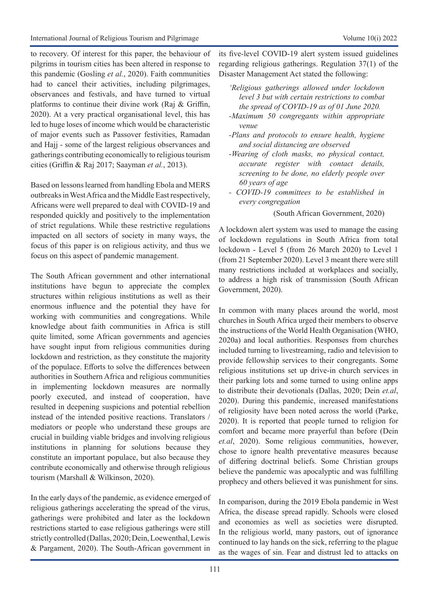to recovery. Of interest for this paper, the behaviour of pilgrims in tourism cities has been altered in response to this pandemic (Gosling *et al.*, 2020). Faith communities had to cancel their activities, including pilgrimages, observances and festivals, and have turned to virtual platforms to continue their divine work (Raj & Griffin, 2020). At a very practical organisational level, this has led to huge loses of income which would be characteristic of major events such as Passover festivities, Ramadan and Hajj - some of the largest religious observances and gatherings contributing economically to religious tourism cities (Griffin & Raj 2017; Saayman *et al.*, 2013).

Based on lessons learned from handling Ebola and MERS outbreaks in West Africa and the Middle East respectively, Africans were well prepared to deal with COVID-19 and responded quickly and positively to the implementation of strict regulations. While these restrictive regulations impacted on all sectors of society in many ways, the focus of this paper is on religious activity, and thus we focus on this aspect of pandemic management.

The South African government and other international institutions have begun to appreciate the complex structures within religious institutions as well as their enormous influence and the potential they have for working with communities and congregations. While knowledge about faith communities in Africa is still quite limited, some African governments and agencies have sought input from religious communities during lockdown and restriction, as they constitute the majority of the populace. Efforts to solve the differences between authorities in Southern Africa and religious communities in implementing lockdown measures are normally poorly executed, and instead of cooperation, have resulted in deepening suspicions and potential rebellion instead of the intended positive reactions. Translators / mediators or people who understand these groups are crucial in building viable bridges and involving religious institutions in planning for solutions because they constitute an important populace, but also because they contribute economically and otherwise through religious tourism (Marshall & Wilkinson, 2020).

In the early days of the pandemic, as evidence emerged of religious gatherings accelerating the spread of the virus, gatherings were prohibited and later as the lockdown restrictions started to ease religious gatherings were still strictly controlled (Dallas, 2020; Dein, Loewenthal, Lewis & Pargament, 2020). The South-African government in

its five-level COVID-19 alert system issued guidelines regarding religious gatherings. Regulation 37(1) of the Disaster Management Act stated the following:

- *'Religious gatherings allowed under lockdown level 3 but with certain restrictions to combat the spread of COVID-19 as of 01 June 2020.*
- *-Maximum 50 congregants within appropriate venue*
- *-Plans and protocols to ensure health, hygiene and social distancing are observed*
- *-Wearing of cloth masks, no physical contact, accurate register with contact details, screening to be done, no elderly people over 60 years of age*
- *COVID-19 committees to be established in every congregation*

(South African Government, 2020)

A lockdown alert system was used to manage the easing of lockdown regulations in South Africa from total lockdown - Level 5 (from 26 March 2020) to Level 1 (from 21 September 2020). Level 3 meant there were still many restrictions included at workplaces and socially, to address a high risk of transmission (South African Government, 2020).

In common with many places around the world, most churches in South Africa urged their members to observe the instructions of the World Health Organisation (WHO, 2020a) and local authorities. Responses from churches included turning to livestreaming, radio and television to provide fellowship services to their congregants. Some religious institutions set up drive-in church services in their parking lots and some turned to using online apps to distribute their devotionals (Dallas, 2020; Dein *et.al*, 2020). During this pandemic, increased manifestations of religiosity have been noted across the world (Parke, 2020). It is reported that people turned to religion for comfort and became more prayerful than before (Dein *et.al*, 2020). Some religious communities, however, chose to ignore health preventative measures because of differing doctrinal beliefs. Some Christian groups believe the pandemic was apocalyptic and was fulfilling prophecy and others believed it was punishment for sins.

In comparison, during the 2019 Ebola pandemic in West Africa, the disease spread rapidly. Schools were closed and economies as well as societies were disrupted. In the religious world, many pastors, out of ignorance continued to lay hands on the sick, referring to the plague as the wages of sin. Fear and distrust led to attacks on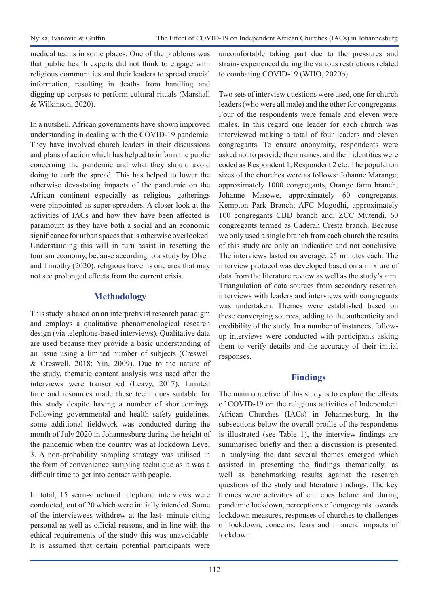medical teams in some places. One of the problems was that public health experts did not think to engage with religious communities and their leaders to spread crucial information, resulting in deaths from handling and digging up corpses to perform cultural rituals (Marshall & Wilkinson, 2020).

In a nutshell, African governments have shown improved understanding in dealing with the COVID-19 pandemic. They have involved church leaders in their discussions and plans of action which has helped to inform the public concerning the pandemic and what they should avoid doing to curb the spread. This has helped to lower the otherwise devastating impacts of the pandemic on the African continent especially as religious gatherings were pinpointed as super-spreaders. A closer look at the activities of IACs and how they have been affected is paramount as they have both a social and an economic significance for urban spaces that is otherwise overlooked. Understanding this will in turn assist in resetting the tourism economy, because according to a study by Olsen and Timothy (2020), religious travel is one area that may not see prolonged effects from the current crisis.

## **Methodology**

This study is based on an interpretivist research paradigm and employs a qualitative phenomenological research design (via telephone-based interviews). Qualitative data are used because they provide a basic understanding of an issue using a limited number of subjects (Creswell & Creswell, 2018; Yin, 2009). Due to the nature of the study, thematic content analysis was used after the interviews were transcribed (Leavy, 2017). Limited time and resources made these techniques suitable for this study despite having a number of shortcomings. Following governmental and health safety guidelines, some additional fieldwork was conducted during the month of July 2020 in Johannesburg during the height of the pandemic when the country was at lockdown Level 3. A non-probability sampling strategy was utilised in the form of convenience sampling technique as it was a difficult time to get into contact with people.

In total, 15 semi-structured telephone interviews were conducted, out of 20 which were initially intended. Some of the interviewees withdrew at the last- minute citing personal as well as official reasons, and in line with the ethical requirements of the study this was unavoidable. It is assumed that certain potential participants were

uncomfortable taking part due to the pressures and strains experienced during the various restrictions related to combating COVID-19 (WHO, 2020b).

Two sets of interview questions were used, one for church leaders (who were all male) and the other for congregants. Four of the respondents were female and eleven were males. In this regard one leader for each church was interviewed making a total of four leaders and eleven congregants. To ensure anonymity, respondents were asked not to provide their names, and their identities were coded as Respondent 1, Respondent 2 etc. The population sizes of the churches were as follows: Johanne Marange, approximately 1000 congregants, Orange farm branch; Johanne Masowe, approximately 60 congregants, Kempton Park Branch; AFC Mugodhi, approximately 100 congregants CBD branch and; ZCC Mutendi, 60 congregants termed as Caderah Cresta branch. Because we only used a single branch from each church the results of this study are only an indication and not conclusive. The interviews lasted on average, 25 minutes each. The interview protocol was developed based on a mixture of data from the literature review as well as the study's aim. Triangulation of data sources from secondary research, interviews with leaders and interviews with congregants was undertaken. Themes were established based on these converging sources, adding to the authenticity and credibility of the study. In a number of instances, followup interviews were conducted with participants asking them to verify details and the accuracy of their initial responses.

## **Findings**

The main objective of this study is to explore the effects of COVID-19 on the religious activities of Independent African Churches (IACs) in Johannesburg. In the subsections below the overall profile of the respondents is illustrated (see Table 1), the interview findings are summarised briefly and then a discussion is presented. In analysing the data several themes emerged which assisted in presenting the findings thematically, as well as benchmarking results against the research questions of the study and literature findings. The key themes were activities of churches before and during pandemic lockdown, perceptions of congregants towards lockdown measures, responses of churches to challenges of lockdown, concerns, fears and financial impacts of lockdown.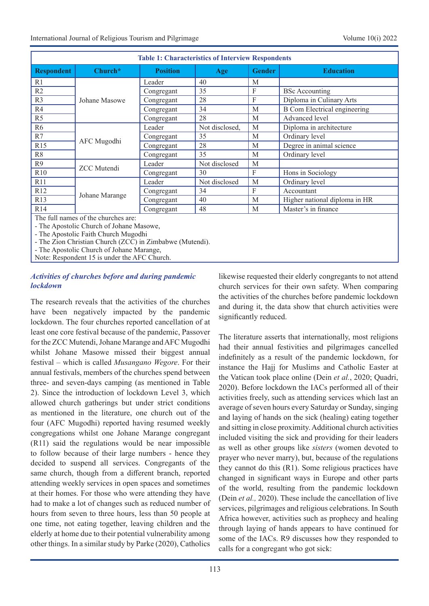| <b>Table 1: Characteristics of Interview Respondents</b> |                                    |                 |                |               |                                     |  |  |
|----------------------------------------------------------|------------------------------------|-----------------|----------------|---------------|-------------------------------------|--|--|
| <b>Respondent</b>                                        | $Church*$                          | <b>Position</b> | Age            | <b>Gender</b> | <b>Education</b>                    |  |  |
| R <sub>1</sub>                                           | Johane Masowe                      | Leader          | 40             | M             |                                     |  |  |
| R <sub>2</sub>                                           |                                    | Congregant      | 35             | F             | <b>BSc</b> Accounting               |  |  |
| R <sub>3</sub>                                           |                                    | Congregant      | 28             | F             | Diploma in Culinary Arts            |  |  |
| R4                                                       |                                    | Congregant      | 34             | M             | <b>B</b> Com Electrical engineering |  |  |
| R <sub>5</sub>                                           |                                    | Congregant      | 28             | M             | Advanced level                      |  |  |
| R <sub>6</sub>                                           | AFC Mugodhi                        | Leader          | Not disclosed, | M             | Diploma in architecture             |  |  |
| R7                                                       |                                    | Congregant      | 35             | M             | Ordinary level                      |  |  |
| R15                                                      |                                    | Congregant      | 28             | М             | Degree in animal science            |  |  |
| R <sub>8</sub>                                           |                                    | Congregant      | 35             | M             | Ordinary level                      |  |  |
| R <sub>9</sub>                                           | <b>ZCC</b> Mutendi                 | Leader          | Not disclosed  | М             |                                     |  |  |
| R10                                                      |                                    | Congregant      | 30             | F             | Hons in Sociology                   |  |  |
| R <sub>11</sub>                                          | Johane Marange                     | Leader          | Not disclosed  | M             | Ordinary level                      |  |  |
| R12                                                      |                                    | Congregant      | 34             | F             | Accountant                          |  |  |
| R13                                                      |                                    | Congregant      | 40             | M             | Higher national diploma in HR       |  |  |
| R <sub>14</sub>                                          |                                    | Congregant      | 48             | M             | Master's in finance                 |  |  |
|                                                          | The full names of the churches are |                 |                |               |                                     |  |  |

The full names of the churches are:

- The Apostolic Church of Johane Masowe,

- The Apostolic Faith Church Mugodhi

- The Zion Christian Church (ZCC) in Zimbabwe (Mutendi).

- The Apostolic Church of Johane Marange,

Note: Respondent 15 is under the AFC Church.

#### *Activities of churches before and during pandemic lockdown*

The research reveals that the activities of the churches have been negatively impacted by the pandemic lockdown. The four churches reported cancellation of at least one core festival because of the pandemic, Passover for the ZCC Mutendi, Johane Marange and AFC Mugodhi whilst Johane Masowe missed their biggest annual festival – which is called *Musangano Wegore*. For their annual festivals, members of the churches spend between three- and seven-days camping (as mentioned in Table 2). Since the introduction of lockdown Level 3, which allowed church gatherings but under strict conditions as mentioned in the literature, one church out of the four (AFC Mugodhi) reported having resumed weekly congregations whilst one Johane Marange congregant (R11) said the regulations would be near impossible to follow because of their large numbers - hence they decided to suspend all services. Congregants of the same church, though from a different branch, reported attending weekly services in open spaces and sometimes at their homes. For those who were attending they have had to make a lot of changes such as reduced number of hours from seven to three hours, less than 50 people at one time, not eating together, leaving children and the elderly at home due to their potential vulnerability among other things. In a similar study by Parke (2020), Catholics

likewise requested their elderly congregants to not attend church services for their own safety. When comparing the activities of the churches before pandemic lockdown and during it, the data show that church activities were significantly reduced.

The literature asserts that internationally, most religions had their annual festivities and pilgrimages cancelled indefinitely as a result of the pandemic lockdown, for instance the Hajj for Muslims and Catholic Easter at the Vatican took place online (Dein *et al.*, 2020; Quadri, 2020). Before lockdown the IACs performed all of their activities freely, such as attending services which last an average of seven hours every Saturday or Sunday, singing and laying of hands on the sick (healing) eating together and sitting in close proximity. Additional church activities included visiting the sick and providing for their leaders as well as other groups like *sisters* (women devoted to prayer who never marry), but, because of the regulations they cannot do this (R1). Some religious practices have changed in significant ways in Europe and other parts of the world, resulting from the pandemic lockdown (Dein *et al.,* 2020). These include the cancellation of live services, pilgrimages and religious celebrations. In South Africa however, activities such as prophecy and healing through laying of hands appears to have continued for some of the IACs. R9 discusses how they responded to calls for a congregant who got sick: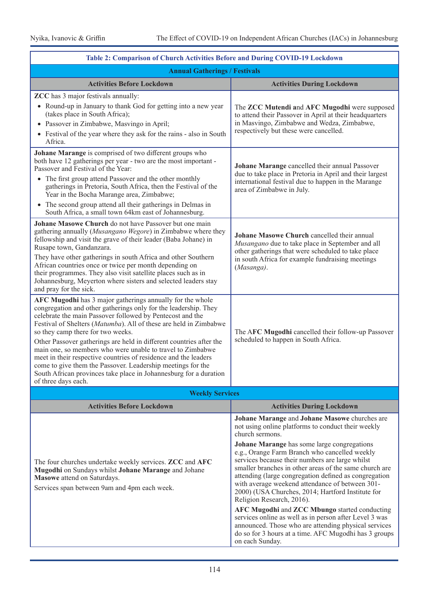| Table 2: Comparison of Church Activities Before and During COVID-19 Lockdown                                                                                                                                                                                                                                                                                                                                                                                                                                                                                                                                                                                           |                                                                                                                                                                                                                                                                                                         |  |  |  |  |
|------------------------------------------------------------------------------------------------------------------------------------------------------------------------------------------------------------------------------------------------------------------------------------------------------------------------------------------------------------------------------------------------------------------------------------------------------------------------------------------------------------------------------------------------------------------------------------------------------------------------------------------------------------------------|---------------------------------------------------------------------------------------------------------------------------------------------------------------------------------------------------------------------------------------------------------------------------------------------------------|--|--|--|--|
| <b>Annual Gatherings / Festivals</b>                                                                                                                                                                                                                                                                                                                                                                                                                                                                                                                                                                                                                                   |                                                                                                                                                                                                                                                                                                         |  |  |  |  |
| <b>Activities Before Lockdown</b>                                                                                                                                                                                                                                                                                                                                                                                                                                                                                                                                                                                                                                      | <b>Activities During Lockdown</b>                                                                                                                                                                                                                                                                       |  |  |  |  |
| <b>ZCC</b> has 3 major festivals annually:<br>• Round-up in January to thank God for getting into a new year                                                                                                                                                                                                                                                                                                                                                                                                                                                                                                                                                           | The ZCC Mutendi and AFC Mugodhi were supposed                                                                                                                                                                                                                                                           |  |  |  |  |
| (takes place in South Africa);<br>• Passover in Zimbabwe, Masvingo in April;                                                                                                                                                                                                                                                                                                                                                                                                                                                                                                                                                                                           | to attend their Passover in April at their headquarters<br>in Masvingo, Zimbabwe and Wedza, Zimbabwe,                                                                                                                                                                                                   |  |  |  |  |
| • Festival of the year where they ask for the rains - also in South<br>Africa.                                                                                                                                                                                                                                                                                                                                                                                                                                                                                                                                                                                         | respectively but these were cancelled.                                                                                                                                                                                                                                                                  |  |  |  |  |
| Johane Marange is comprised of two different groups who<br>both have 12 gatherings per year - two are the most important -<br>Passover and Festival of the Year:                                                                                                                                                                                                                                                                                                                                                                                                                                                                                                       | Johane Marange cancelled their annual Passover<br>due to take place in Pretoria in April and their largest<br>international festival due to happen in the Marange<br>area of Zimbabwe in July.                                                                                                          |  |  |  |  |
| The first group attend Passover and the other monthly<br>gatherings in Pretoria, South Africa, then the Festival of the<br>Year in the Bocha Marange area, Zimbabwe;                                                                                                                                                                                                                                                                                                                                                                                                                                                                                                   |                                                                                                                                                                                                                                                                                                         |  |  |  |  |
| The second group attend all their gatherings in Delmas in<br>$\bullet$<br>South Africa, a small town 64km east of Johannesburg.                                                                                                                                                                                                                                                                                                                                                                                                                                                                                                                                        |                                                                                                                                                                                                                                                                                                         |  |  |  |  |
| Johane Masowe Church do not have Passover but one main<br>gathering annually (Musangano Wegore) in Zimbabwe where they<br>fellowship and visit the grave of their leader (Baba Johane) in<br>Rusape town, Gandanzara.<br>They have other gatherings in south Africa and other Southern<br>African countries once or twice per month depending on<br>their programmes. They also visit satellite places such as in                                                                                                                                                                                                                                                      | Johane Masowe Church cancelled their annual<br>Musangano due to take place in September and all<br>other gatherings that were scheduled to take place<br>in south Africa for example fundraising meetings<br>(Masanga).                                                                                 |  |  |  |  |
| Johannesburg, Meyerton where sisters and selected leaders stay<br>and pray for the sick.                                                                                                                                                                                                                                                                                                                                                                                                                                                                                                                                                                               |                                                                                                                                                                                                                                                                                                         |  |  |  |  |
| AFC Mugodhi has 3 major gatherings annually for the whole<br>congregation and other gatherings only for the leadership. They<br>celebrate the main Passover followed by Pentecost and the<br>Festival of Shelters (Matumba). All of these are held in Zimbabwe<br>so they camp there for two weeks.<br>Other Passover gatherings are held in different countries after the<br>main one, so members who were unable to travel to Zimbabwe<br>meet in their respective countries of residence and the leaders<br>come to give them the Passover. Leadership meetings for the<br>South African provinces take place in Johannesburg for a duration<br>of three days each. | The AFC Mugodhi cancelled their follow-up Passover<br>scheduled to happen in South Africa.                                                                                                                                                                                                              |  |  |  |  |
| <b>Weekly Services</b>                                                                                                                                                                                                                                                                                                                                                                                                                                                                                                                                                                                                                                                 |                                                                                                                                                                                                                                                                                                         |  |  |  |  |
| <b>Activities Before Lockdown</b>                                                                                                                                                                                                                                                                                                                                                                                                                                                                                                                                                                                                                                      | <b>Activities During Lockdown</b>                                                                                                                                                                                                                                                                       |  |  |  |  |
|                                                                                                                                                                                                                                                                                                                                                                                                                                                                                                                                                                                                                                                                        | Johane Marange and Johane Masowe churches are<br>not using online platforms to conduct their weekly<br>church sermons.<br>Johane Marange has some large congregations<br>e.g., Orange Farm Branch who cancelled weekly                                                                                  |  |  |  |  |
| The four churches undertake weekly services. ZCC and AFC<br>Mugodhi on Sundays whilst Johane Marange and Johane<br>Masowe attend on Saturdays.<br>Services span between 9am and 4pm each week.                                                                                                                                                                                                                                                                                                                                                                                                                                                                         | services because their numbers are large whilst<br>smaller branches in other areas of the same church are<br>attending (large congregation defined as congregation<br>with average weekend attendance of between 301-<br>2000) (USA Churches, 2014; Hartford Institute for<br>Religion Research, 2016). |  |  |  |  |
|                                                                                                                                                                                                                                                                                                                                                                                                                                                                                                                                                                                                                                                                        | AFC Mugodhi and ZCC Mbungo started conducting<br>services online as well as in person after Level 3 was<br>announced. Those who are attending physical services<br>do so for 3 hours at a time. AFC Mugodhi has 3 groups<br>on each Sunday.                                                             |  |  |  |  |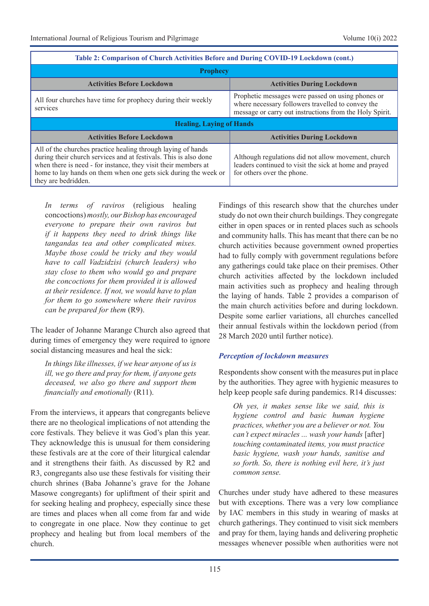| Table 2: Comparison of Church Activities Before and During COVID-19 Lockdown (cont.)                                                                                                                                                                                                         |                                                                                                                                                                   |  |  |  |  |
|----------------------------------------------------------------------------------------------------------------------------------------------------------------------------------------------------------------------------------------------------------------------------------------------|-------------------------------------------------------------------------------------------------------------------------------------------------------------------|--|--|--|--|
| <b>Prophecy</b>                                                                                                                                                                                                                                                                              |                                                                                                                                                                   |  |  |  |  |
| <b>Activities Before Lockdown</b>                                                                                                                                                                                                                                                            | <b>Activities During Lockdown</b>                                                                                                                                 |  |  |  |  |
| All four churches have time for prophecy during their weekly<br>services                                                                                                                                                                                                                     | Prophetic messages were passed on using phones or<br>where necessary followers travelled to convey the<br>message or carry out instructions from the Holy Spirit. |  |  |  |  |
| <b>Healing, Laying of Hands</b>                                                                                                                                                                                                                                                              |                                                                                                                                                                   |  |  |  |  |
| <b>Activities Before Lockdown</b>                                                                                                                                                                                                                                                            | <b>Activities During Lockdown</b>                                                                                                                                 |  |  |  |  |
| All of the churches practice healing through laying of hands<br>during their church services and at festivals. This is also done<br>when there is need - for instance, they visit their members at<br>home to lay hands on them when one gets sick during the week or<br>they are bedridden. | Although regulations did not allow movement, church<br>leaders continued to visit the sick at home and prayed<br>for others over the phone.                       |  |  |  |  |

*In terms of raviros* (religious healing concoctions)*mostly, our Bishop has encouraged everyone to prepare their own raviros but if it happens they need to drink things like tangandas tea and other complicated mixes. Maybe those could be tricky and they would have to call Vadzidzisi (church leaders) who stay close to them who would go and prepare the concoctions for them provided it is allowed at their residence. If not, we would have to plan for them to go somewhere where their raviros can be prepared for them* (R9).

The leader of Johanne Marange Church also agreed that during times of emergency they were required to ignore social distancing measures and heal the sick:

*In things like illnesses, if we hear anyone of us is ill, we go there and pray for them, if anyone gets deceased, we also go there and support them financially and emotionally* (R11).

From the interviews, it appears that congregants believe there are no theological implications of not attending the core festivals. They believe it was God's plan this year. They acknowledge this is unusual for them considering these festivals are at the core of their liturgical calendar and it strengthens their faith. As discussed by R2 and R3, congregants also use these festivals for visiting their church shrines (Baba Johanne's grave for the Johane Masowe congregants) for upliftment of their spirit and for seeking healing and prophecy, especially since these are times and places when all come from far and wide to congregate in one place. Now they continue to get prophecy and healing but from local members of the church.

Findings of this research show that the churches under study do not own their church buildings. They congregate either in open spaces or in rented places such as schools and community halls. This has meant that there can be no church activities because government owned properties had to fully comply with government regulations before any gatherings could take place on their premises. Other church activities affected by the lockdown included main activities such as prophecy and healing through the laying of hands. Table 2 provides a comparison of the main church activities before and during lockdown. Despite some earlier variations, all churches cancelled their annual festivals within the lockdown period (from 28 March 2020 until further notice).

#### *Perception of lockdown measures*

Respondents show consent with the measures put in place by the authorities. They agree with hygienic measures to help keep people safe during pandemics. R14 discusses:

*Oh yes, it makes sense like we said, this is hygiene control and basic human hygiene practices, whether you are a believer or not. You can't expect miracles ... wash your hands* [after] *touching contaminated items, you must practice basic hygiene, wash your hands, sanitise and so forth. So, there is nothing evil here, it's just common sense.* 

Churches under study have adhered to these measures but with exceptions. There was a very low compliance by IAC members in this study in wearing of masks at church gatherings. They continued to visit sick members and pray for them, laying hands and delivering prophetic messages whenever possible when authorities were not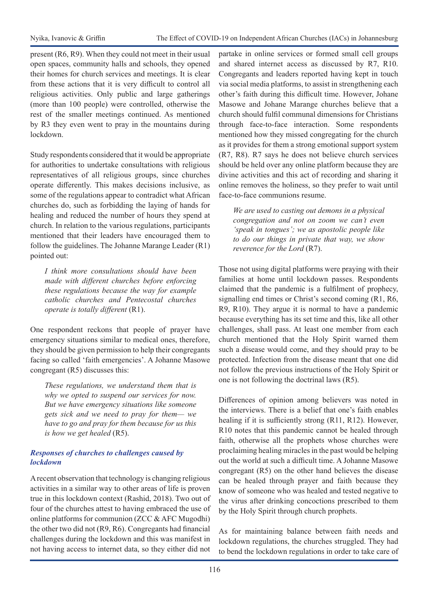present (R6, R9). When they could not meet in their usual open spaces, community halls and schools, they opened their homes for church services and meetings. It is clear from these actions that it is very difficult to control all religious activities. Only public and large gatherings (more than 100 people) were controlled, otherwise the rest of the smaller meetings continued. As mentioned by R3 they even went to pray in the mountains during lockdown.

Study respondents considered that it would be appropriate for authorities to undertake consultations with religious representatives of all religious groups, since churches operate differently. This makes decisions inclusive, as some of the regulations appear to contradict what African churches do, such as forbidding the laying of hands for healing and reduced the number of hours they spend at church. In relation to the various regulations, participants mentioned that their leaders have encouraged them to follow the guidelines. The Johanne Marange Leader (R1) pointed out:

*I think more consultations should have been made with different churches before enforcing these regulations because the way for example catholic churches and Pentecostal churches operate is totally different* (R1).

One respondent reckons that people of prayer have emergency situations similar to medical ones, therefore, they should be given permission to help their congregants facing so called 'faith emergencies'. A Johanne Masowe congregant (R5) discusses this:

*These regulations, we understand them that is why we opted to suspend our services for now. But we have emergency situations like someone gets sick and we need to pray for them— we have to go and pray for them because for us this is how we get healed* (R5).

## *Responses of churches to challenges caused by lockdown*

A recent observation that technology is changing religious activities in a similar way to other areas of life is proven true in this lockdown context (Rashid, 2018). Two out of four of the churches attest to having embraced the use of online platforms for communion (ZCC & AFC Mugodhi) the other two did not (R9, R6). Congregants had financial challenges during the lockdown and this was manifest in not having access to internet data, so they either did not

partake in online services or formed small cell groups and shared internet access as discussed by R7, R10. Congregants and leaders reported having kept in touch via social media platforms, to assist in strengthening each other's faith during this difficult time. However, Johane Masowe and Johane Marange churches believe that a church should fulfil communal dimensions for Christians through face-to-face interaction. Some respondents mentioned how they missed congregating for the church as it provides for them a strong emotional support system (R7, R8). R7 says he does not believe church services should be held over any online platform because they are divine activities and this act of recording and sharing it online removes the holiness, so they prefer to wait until face-to-face communions resume.

*We are used to casting out demons in a physical congregation and not on zoom we can't even 'speak in tongues'; we as apostolic people like to do our things in private that way, we show reverence for the Lord* (R7).

Those not using digital platforms were praying with their families at home until lockdown passes. Respondents claimed that the pandemic is a fulfilment of prophecy, signalling end times or Christ's second coming (R1, R6, R9, R10). They argue it is normal to have a pandemic because everything has its set time and this, like all other challenges, shall pass. At least one member from each church mentioned that the Holy Spirit warned them such a disease would come, and they should pray to be protected. Infection from the disease meant that one did not follow the previous instructions of the Holy Spirit or one is not following the doctrinal laws (R5).

Differences of opinion among believers was noted in the interviews. There is a belief that one's faith enables healing if it is sufficiently strong (R11, R12). However, R10 notes that this pandemic cannot be healed through faith, otherwise all the prophets whose churches were proclaiming healing miracles in the past would be helping out the world at such a difficult time. A Johanne Masowe congregant (R5) on the other hand believes the disease can be healed through prayer and faith because they know of someone who was healed and tested negative to the virus after drinking concoctions prescribed to them by the Holy Spirit through church prophets.

As for maintaining balance between faith needs and lockdown regulations, the churches struggled. They had to bend the lockdown regulations in order to take care of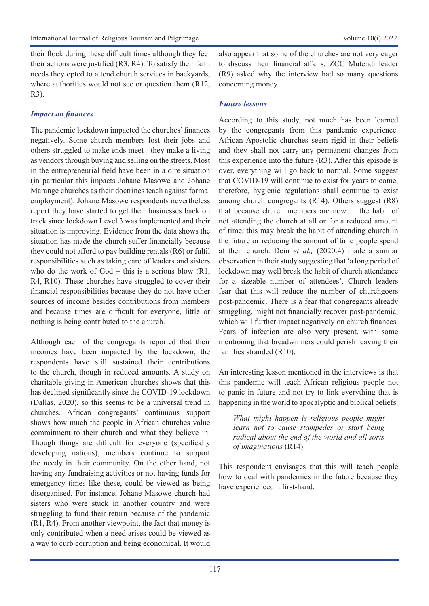their flock during these difficult times although they feel their actions were justified (R3, R4). To satisfy their faith needs they opted to attend church services in backyards, where authorities would not see or question them (R12, R3).

### *Impact on finances*

The pandemic lockdown impacted the churches' finances negatively. Some church members lost their jobs and others struggled to make ends meet - they make a living as vendors through buying and selling on the streets. Most in the entrepreneurial field have been in a dire situation (in particular this impacts Johane Masowe and Johane Marange churches as their doctrines teach against formal employment). Johane Masowe respondents nevertheless report they have started to get their businesses back on track since lockdown Level 3 was implemented and their situation is improving. Evidence from the data shows the situation has made the church suffer financially because they could not afford to pay building rentals (R6) or fulfil responsibilities such as taking care of leaders and sisters who do the work of  $God - this$  is a serious blow  $(R1,$ R4, R10). These churches have struggled to cover their financial responsibilities because they do not have other sources of income besides contributions from members and because times are difficult for everyone, little or nothing is being contributed to the church.

Although each of the congregants reported that their incomes have been impacted by the lockdown, the respondents have still sustained their contributions to the church, though in reduced amounts. A study on charitable giving in American churches shows that this has declined significantly since the COVID-19 lockdown (Dallas, 2020), so this seems to be a universal trend in churches. African congregants' continuous support shows how much the people in African churches value commitment to their church and what they believe in. Though things are difficult for everyone (specifically developing nations), members continue to support the needy in their community. On the other hand, not having any fundraising activities or not having funds for emergency times like these, could be viewed as being disorganised. For instance, Johane Masowe church had sisters who were stuck in another country and were struggling to fund their return because of the pandemic (R1, R4). From another viewpoint, the fact that money is only contributed when a need arises could be viewed as a way to curb corruption and being economical. It would

also appear that some of the churches are not very eager to discuss their financial affairs, ZCC Mutendi leader (R9) asked why the interview had so many questions concerning money.

#### *Future lessons*

According to this study, not much has been learned by the congregants from this pandemic experience. African Apostolic churches seem rigid in their beliefs and they shall not carry any permanent changes from this experience into the future (R3). After this episode is over, everything will go back to normal. Some suggest that COVID-19 will continue to exist for years to come, therefore, hygienic regulations shall continue to exist among church congregants (R14). Others suggest (R8) that because church members are now in the habit of not attending the church at all or for a reduced amount of time, this may break the habit of attending church in the future or reducing the amount of time people spend at their church. Dein *et al.,* (2020:4) made a similar observation in their study suggesting that 'a long period of lockdown may well break the habit of church attendance for a sizeable number of attendees'. Church leaders fear that this will reduce the number of churchgoers post-pandemic. There is a fear that congregants already struggling, might not financially recover post-pandemic, which will further impact negatively on church finances. Fears of infection are also very present, with some mentioning that breadwinners could perish leaving their families stranded (R10).

An interesting lesson mentioned in the interviews is that this pandemic will teach African religious people not to panic in future and not try to link everything that is happening in the world to apocalyptic and biblical beliefs.

*What might happen is religious people might learn not to cause stampedes or start being radical about the end of the world and all sorts of imaginations* (R14).

This respondent envisages that this will teach people how to deal with pandemics in the future because they have experienced it first-hand.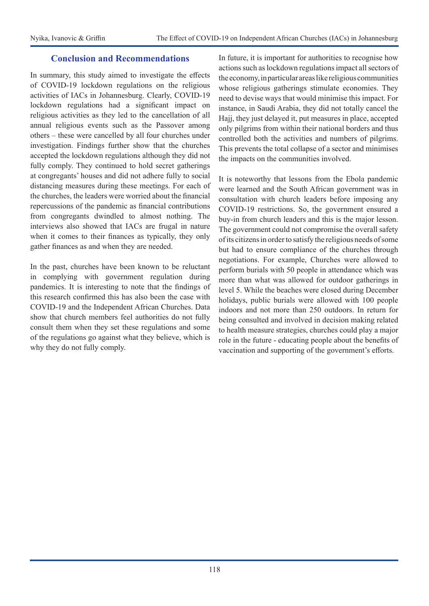## **Conclusion and Recommendations**

In summary, this study aimed to investigate the effects of COVID-19 lockdown regulations on the religious activities of IACs in Johannesburg. Clearly, COVID-19 lockdown regulations had a significant impact on religious activities as they led to the cancellation of all annual religious events such as the Passover among others – these were cancelled by all four churches under investigation. Findings further show that the churches accepted the lockdown regulations although they did not fully comply. They continued to hold secret gatherings at congregants' houses and did not adhere fully to social distancing measures during these meetings. For each of the churches, the leaders were worried about the financial repercussions of the pandemic as financial contributions from congregants dwindled to almost nothing. The interviews also showed that IACs are frugal in nature when it comes to their finances as typically, they only gather finances as and when they are needed.

In the past, churches have been known to be reluctant in complying with government regulation during pandemics. It is interesting to note that the findings of this research confirmed this has also been the case with COVID-19 and the Independent African Churches. Data show that church members feel authorities do not fully consult them when they set these regulations and some of the regulations go against what they believe, which is why they do not fully comply.

In future, it is important for authorities to recognise how actions such as lockdown regulations impact all sectors of the economy, in particular areas like religious communities whose religious gatherings stimulate economies. They need to devise ways that would minimise this impact. For instance, in Saudi Arabia, they did not totally cancel the Hajj, they just delayed it, put measures in place, accepted only pilgrims from within their national borders and thus controlled both the activities and numbers of pilgrims. This prevents the total collapse of a sector and minimises the impacts on the communities involved.

It is noteworthy that lessons from the Ebola pandemic were learned and the South African government was in consultation with church leaders before imposing any COVID-19 restrictions. So, the government ensured a buy-in from church leaders and this is the major lesson. The government could not compromise the overall safety of its citizens in order to satisfy the religious needs of some but had to ensure compliance of the churches through negotiations. For example, Churches were allowed to perform burials with 50 people in attendance which was more than what was allowed for outdoor gatherings in level 5. While the beaches were closed during December holidays, public burials were allowed with 100 people indoors and not more than 250 outdoors. In return for being consulted and involved in decision making related to health measure strategies, churches could play a major role in the future - educating people about the benefits of vaccination and supporting of the government's efforts.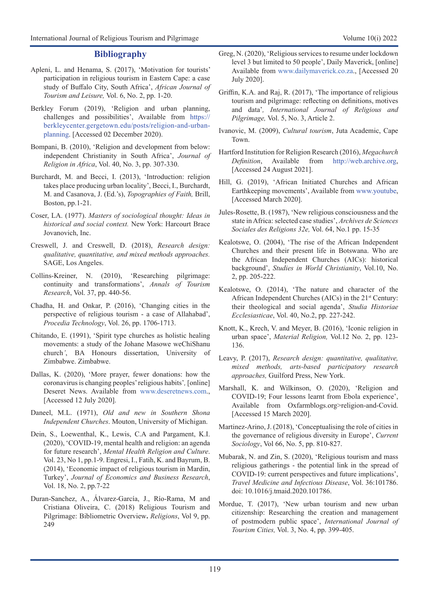#### **Bibliography**

- Apleni, L. and Henama, S. (2017), 'Motivation for tourists' participation in religious tourism in Eastern Cape: a case study of Buffalo City, South Africa', *African Journal of Tourism and Leisure,* Vol. 6, No. 2, pp. 1-20.
- Berkley Forum (2019), 'Religion and urban planning, challenges and possibilities', Available from [https://](https://berkleycenter.gergetown.edu/posts/religion-and-urban-planning) [berkleycenter.gergetown.edu/posts/religion-and-urban](https://berkleycenter.gergetown.edu/posts/religion-and-urban-planning)[planning](https://berkleycenter.gergetown.edu/posts/religion-and-urban-planning). [Accessed 02 December 2020).
- Bompani, B. (2010), 'Religion and development from below: independent Christianity in South Africa', *Journal of Religion in Africa*, Vol. 40, No. 3, pp. 307-330.
- Burchardt, M. and Becci, I. (2013), 'Introduction: religion takes place producing urban locality', Becci, I., Burchardt, M. and Casanova, J. (Ed.'s), *Topographies of Faith,* Brill, Boston, pp.1-21.
- Coser, LA. (1977). *Masters of sociological thought: Ideas in historical and social context.* New York: Harcourt Brace Jovanovich, Inc.
- Creswell, J. and Creswell, D. (2018), *Research design: qualitative, quantitative, and mixed methods approaches.* SAGE, Los Angeles.
- Collins-Kreiner, N. (2010), 'Researching pilgrimage: continuity and transformations', *Annals of Tourism Research*, Vol. 37, pp. 440-56.
- Chadha, H. and Onkar, P. (2016), 'Changing cities in the perspective of religious tourism - a case of Allahabad', *Procedia Technology*, Vol. 26, pp. 1706-1713.
- Chitando, E. (1991), 'Spirit type churches as holistic healing movements: a study of the Johane Masowe weChiShanu church*'*, BA Honours dissertation, University of Zimbabwe. Zimbabwe.
- Dallas, K. (2020), 'More prayer, fewer donations: how the coronavirus is changing peoples' religious habits'*,* [online] Deseret News. Available from [www.deseretnews.com.](http://www.deseretnews.com/), [Accessed 12 July 2020].
- Daneel, M.L. (1971), *Old and new in Southern Shona Independent Churches*. Mouton, University of Michigan.
- Dein, S., Loewenthal, K., Lewis, C.A and Pargament, K.I. (2020), 'COVID-19, mental health and religion: an agenda for future research', *Mental Health Religion and Culture*. Vol. 23, No 1, pp.1-9. Engresi, I., Fatih, K. and Bayrum, B. (2014), 'Economic impact of religious tourism in Mardin, Turkey', *Journal of Economics and Business Research*, Vol. 18, No. 2, pp.7-22
- Duran-Sanchez, A., Álvarez-García, J., Río-Rama, M and Cristiana Oliveira, C. (2018) Religious Tourism and Pilgrimage: Bibliometric Overview**.** *Religions*, Vol 9, pp. 249
- Greg, N. (2020), 'Religious services to resume under lockdown level 3 but limited to 50 people', Daily Maverick, [online] Available from [www.dailymaverick.co.za.](http://www.dailymaverick.co.za/), [Accessed 20 July 2020].
- Griffin, K.A. and Raj, R. (2017), 'The importance of religious tourism and pilgrimage: reflecting on definitions, motives and data'*, International Journal of Religious and Pilgrimage,* Vol. 5, No. 3, Article 2.
- Ivanovic, M. (2009), *Cultural tourism*, Juta Academic, Cape Town.
- Hartford Institution for Religion Research (2016), *Megachurch Definition*, Available from <http://web.archive.org>, [Accessed 24 August 2021].
- Hill, G. (2019), 'African Initiated Churches and African Earthkeeping movements', Available from [www.youtube](http://www.youtube), [Accessed March 2020].
- Jules-Rosette, B. (1987), 'New religious consciousness and the state in Africa: selected case studies', *Archives de Sciences Sociales des Religions 32e,* Vol. 64, No.1 pp. 15-35
- Kealotswe, O. (2004), 'The rise of the African Independent Churches and their present life in Botswana. Who are the African Independent Churches (AICs): historical background', *Studies in World Christianity*, Vol.10, No. 2, pp. 205-222.
- Kealotswe, O. (2014), 'The nature and character of the African Independent Churches (AICs) in the 21<sup>st</sup> Century: their theological and social agenda', *Studia Historiae Ecclesiasticae*, Vol. 40, No.2, pp. 227-242.
- Knott, K., Krech, V. and Meyer, B. (2016), 'Iconic religion in urban space', *Material Religion,* Vol.12 No. 2, pp. 123- 136.
- Leavy, P. (2017), *Research design: quantitative, qualitative, mixed methods, arts-based participatory research approaches,* Guilford Press, New York.
- Marshall, K. and Wilkinson, O. (2020), 'Religion and COVID-19; Four lessons learnt from Ebola experience', Available from Oxfarmblogs.org>religion-and-Covid. [Accessed 15 March 2020].
- Martinez-Arino, J. (2018), 'Conceptualising the role of cities in the governance of religious diversity in Europe', *Current Sociology*, Vol 66, No. 5, pp. 810-827.
- Mubarak, N. and Zin, S. (2020), 'Religious tourism and mass religious gatherings - the potential link in the spread of COVID-19: current perspectives and future implications', *Travel Medicine and Infectious Disease*, Vol. 36:101786. doi: 10.1016/j.tmaid.2020.101786.
- Mordue, T. (2017), 'New urban tourism and new urban citizenship: Researching the creation and management of postmodern public space', *International Journal of Tourism Cities,* Vol. 3, No. 4, pp. 399-405.